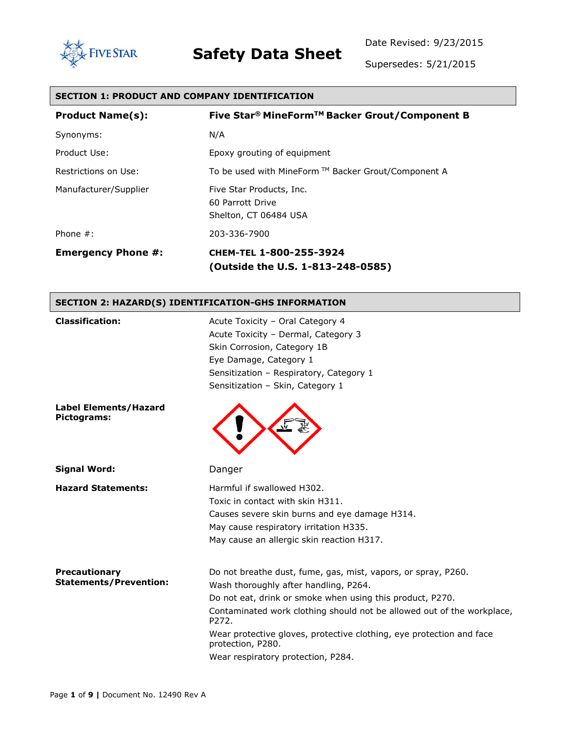



Supersedes: 5/21/2015

| <b>SECTION 1: PRODUCT AND COMPANY IDENTIFICATION</b> |                                                                                                                                                                             |  |
|------------------------------------------------------|-----------------------------------------------------------------------------------------------------------------------------------------------------------------------------|--|
| <b>Product Name(s):</b>                              | Five Star® MineForm™ Backer Grout/Component B                                                                                                                               |  |
| Synonyms:                                            | N/A                                                                                                                                                                         |  |
| Product Use:                                         | Epoxy grouting of equipment                                                                                                                                                 |  |
| Restrictions on Use:                                 | To be used with MineForm ™ Backer Grout/Component A                                                                                                                         |  |
| Manufacturer/Supplier                                | Five Star Products, Inc.<br>60 Parrott Drive<br>Shelton, CT 06484 USA                                                                                                       |  |
| Phone $#$ :                                          | 203-336-7900                                                                                                                                                                |  |
| <b>Emergency Phone #:</b>                            | CHEM-TEL 1-800-255-3924<br>(Outside the U.S. 1-813-248-0585)                                                                                                                |  |
| SECTION 2: HAZARD(S) IDENTIFICATION-GHS INFORMATION  |                                                                                                                                                                             |  |
| <b>Classification:</b>                               | Acute Toxicity - Oral Category 4<br>Acute Toxicity - Dermal, Category 3<br>Skin Corrosion, Category 1B<br>Eye Damage, Category 1<br>Sensitization - Respiratory, Category 1 |  |

**Label Elements/Hazard** 

**Signal Word:** Danger

**Pictograms:**

**Precautionary Statements/Prevention:**



Sensitization – Skin, Category 1

**Hazard Statements:** Harmful if swallowed H302. Toxic in contact with skin H311. Causes severe skin burns and eye damage H314. May cause respiratory irritation H335. May cause an allergic skin reaction H317.

> Do not breathe dust, fume, gas, mist, vapors, or spray, P260. Wash thoroughly after handling, P264. Do not eat, drink or smoke when using this product, P270. Contaminated work clothing should not be allowed out of the workplace, P272. Wear protective gloves, protective clothing, eye protection and face protection, P280. Wear respiratory protection, P284.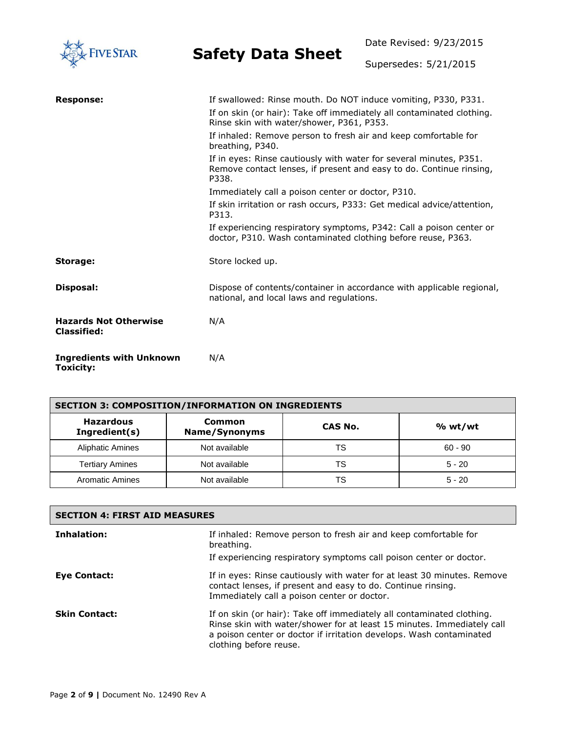

Date Revised: 9/23/2015

Supersedes: 5/21/2015

| <b>Response:</b>                                   | If swallowed: Rinse mouth. Do NOT induce vomiting, P330, P331.                                                                                     |
|----------------------------------------------------|----------------------------------------------------------------------------------------------------------------------------------------------------|
|                                                    | If on skin (or hair): Take off immediately all contaminated clothing.<br>Rinse skin with water/shower, P361, P353.                                 |
|                                                    | If inhaled: Remove person to fresh air and keep comfortable for<br>breathing, P340.                                                                |
|                                                    | If in eyes: Rinse cautiously with water for several minutes, P351.<br>Remove contact lenses, if present and easy to do. Continue rinsing,<br>P338. |
|                                                    | Immediately call a poison center or doctor, P310.                                                                                                  |
|                                                    | If skin irritation or rash occurs, P333: Get medical advice/attention,<br>P313.                                                                    |
|                                                    | If experiencing respiratory symptoms, P342: Call a poison center or<br>doctor, P310. Wash contaminated clothing before reuse, P363.                |
| Storage:                                           | Store locked up.                                                                                                                                   |
| Disposal:                                          | Dispose of contents/container in accordance with applicable regional,<br>national, and local laws and regulations.                                 |
| <b>Hazards Not Otherwise</b><br><b>Classified:</b> | N/A                                                                                                                                                |
| <b>Ingredients with Unknown</b><br>Toxicity:       | N/A                                                                                                                                                |

| <b>SECTION 3: COMPOSITION/INFORMATION ON INGREDIENTS</b> |                         |         |           |
|----------------------------------------------------------|-------------------------|---------|-----------|
| <b>Hazardous</b><br>Ingredient(s)                        | Common<br>Name/Synonyms | CAS No. | % wt/wt   |
| <b>Aliphatic Amines</b>                                  | Not available           | TS      | $60 - 90$ |
| <b>Tertiary Amines</b>                                   | Not available           | TS      | $5 - 20$  |
| <b>Aromatic Amines</b>                                   | Not available           | TS      | $5 - 20$  |

| <b>SECTION 4: FIRST AID MEASURES</b> |                                                                                                                                                                                                                                                  |  |
|--------------------------------------|--------------------------------------------------------------------------------------------------------------------------------------------------------------------------------------------------------------------------------------------------|--|
| Inhalation:                          | If inhaled: Remove person to fresh air and keep comfortable for<br>breathing.                                                                                                                                                                    |  |
|                                      | If experiencing respiratory symptoms call poison center or doctor.                                                                                                                                                                               |  |
| <b>Eve Contact:</b>                  | If in eyes: Rinse cautiously with water for at least 30 minutes. Remove<br>contact lenses, if present and easy to do. Continue rinsing.<br>Immediately call a poison center or doctor.                                                           |  |
| <b>Skin Contact:</b>                 | If on skin (or hair): Take off immediately all contaminated clothing.<br>Rinse skin with water/shower for at least 15 minutes. Immediately call<br>a poison center or doctor if irritation develops. Wash contaminated<br>clothing before reuse. |  |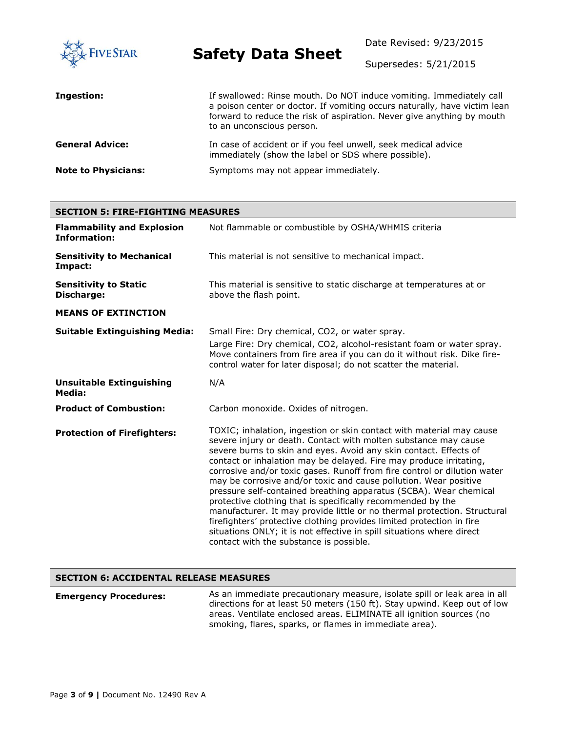

Date Revised: 9/23/2015

Supersedes: 5/21/2015

| Ingestion:                 | If swallowed: Rinse mouth. Do NOT induce vomiting. Immediately call<br>a poison center or doctor. If vomiting occurs naturally, have victim lean<br>forward to reduce the risk of aspiration. Never give anything by mouth<br>to an unconscious person. |
|----------------------------|---------------------------------------------------------------------------------------------------------------------------------------------------------------------------------------------------------------------------------------------------------|
| <b>General Advice:</b>     | In case of accident or if you feel unwell, seek medical advice<br>immediately (show the label or SDS where possible).                                                                                                                                   |
| <b>Note to Physicians:</b> | Symptoms may not appear immediately.                                                                                                                                                                                                                    |

| <b>SECTION 5: FIRE-FIGHTING MEASURES</b>                 |                                                                                                                                                                                                                                                                                                                                                                                                                                                                                                                                                                                                                                                                                                                                                                                                                                                 |  |
|----------------------------------------------------------|-------------------------------------------------------------------------------------------------------------------------------------------------------------------------------------------------------------------------------------------------------------------------------------------------------------------------------------------------------------------------------------------------------------------------------------------------------------------------------------------------------------------------------------------------------------------------------------------------------------------------------------------------------------------------------------------------------------------------------------------------------------------------------------------------------------------------------------------------|--|
| <b>Flammability and Explosion</b><br><b>Information:</b> | Not flammable or combustible by OSHA/WHMIS criteria                                                                                                                                                                                                                                                                                                                                                                                                                                                                                                                                                                                                                                                                                                                                                                                             |  |
| <b>Sensitivity to Mechanical</b><br>Impact:              | This material is not sensitive to mechanical impact.                                                                                                                                                                                                                                                                                                                                                                                                                                                                                                                                                                                                                                                                                                                                                                                            |  |
| <b>Sensitivity to Static</b><br>Discharge:               | This material is sensitive to static discharge at temperatures at or<br>above the flash point.                                                                                                                                                                                                                                                                                                                                                                                                                                                                                                                                                                                                                                                                                                                                                  |  |
| <b>MEANS OF EXTINCTION</b>                               |                                                                                                                                                                                                                                                                                                                                                                                                                                                                                                                                                                                                                                                                                                                                                                                                                                                 |  |
| <b>Suitable Extinguishing Media:</b>                     | Small Fire: Dry chemical, CO2, or water spray.<br>Large Fire: Dry chemical, CO2, alcohol-resistant foam or water spray.<br>Move containers from fire area if you can do it without risk. Dike fire-<br>control water for later disposal; do not scatter the material.                                                                                                                                                                                                                                                                                                                                                                                                                                                                                                                                                                           |  |
| <b>Unsuitable Extinguishing</b><br>Media:                | N/A                                                                                                                                                                                                                                                                                                                                                                                                                                                                                                                                                                                                                                                                                                                                                                                                                                             |  |
| <b>Product of Combustion:</b>                            | Carbon monoxide. Oxides of nitrogen.                                                                                                                                                                                                                                                                                                                                                                                                                                                                                                                                                                                                                                                                                                                                                                                                            |  |
| <b>Protection of Firefighters:</b>                       | TOXIC; inhalation, ingestion or skin contact with material may cause<br>severe injury or death. Contact with molten substance may cause<br>severe burns to skin and eyes. Avoid any skin contact. Effects of<br>contact or inhalation may be delayed. Fire may produce irritating,<br>corrosive and/or toxic gases. Runoff from fire control or dilution water<br>may be corrosive and/or toxic and cause pollution. Wear positive<br>pressure self-contained breathing apparatus (SCBA). Wear chemical<br>protective clothing that is specifically recommended by the<br>manufacturer. It may provide little or no thermal protection. Structural<br>firefighters' protective clothing provides limited protection in fire<br>situations ONLY; it is not effective in spill situations where direct<br>contact with the substance is possible. |  |

### **SECTION 6: ACCIDENTAL RELEASE MEASURES**

**Emergency Procedures:** As an immediate precautionary measure, isolate spill or leak area in all directions for at least 50 meters (150 ft). Stay upwind. Keep out of low areas. Ventilate enclosed areas. ELIMINATE all ignition sources (no smoking, flares, sparks, or flames in immediate area).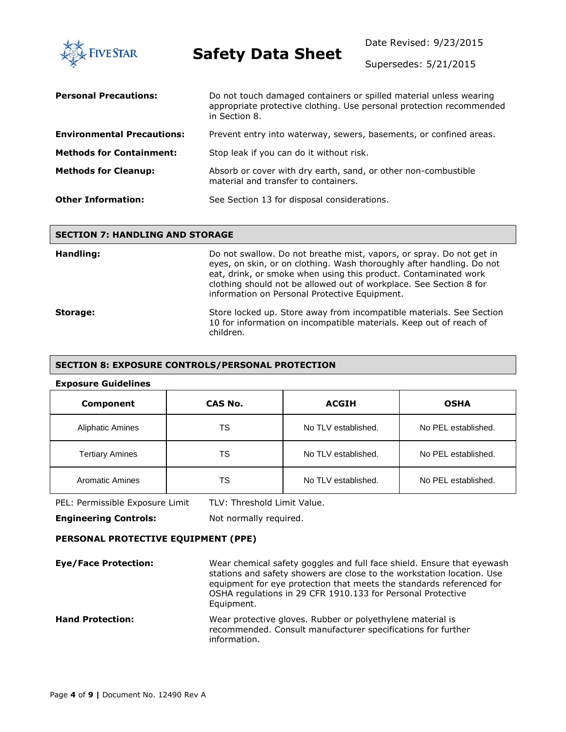

Date Revised: 9/23/2015

Supersedes: 5/21/2015

| <b>Personal Precautions:</b>      | Do not touch damaged containers or spilled material unless wearing<br>appropriate protective clothing. Use personal protection recommended<br>in Section 8. |
|-----------------------------------|-------------------------------------------------------------------------------------------------------------------------------------------------------------|
| <b>Environmental Precautions:</b> | Prevent entry into waterway, sewers, basements, or confined areas.                                                                                          |
| <b>Methods for Containment:</b>   | Stop leak if you can do it without risk.                                                                                                                    |
| <b>Methods for Cleanup:</b>       | Absorb or cover with dry earth, sand, or other non-combustible<br>material and transfer to containers.                                                      |
| <b>Other Information:</b>         | See Section 13 for disposal considerations.                                                                                                                 |

#### **SECTION 7: HANDLING AND STORAGE**

| Handling: | Do not swallow. Do not breathe mist, vapors, or spray. Do not get in<br>eyes, on skin, or on clothing. Wash thoroughly after handling. Do not<br>eat, drink, or smoke when using this product. Contaminated work<br>clothing should not be allowed out of workplace. See Section 8 for<br>information on Personal Protective Equipment. |
|-----------|-----------------------------------------------------------------------------------------------------------------------------------------------------------------------------------------------------------------------------------------------------------------------------------------------------------------------------------------|
| Storage:  | Store locked up. Store away from incompatible materials. See Section<br>10 for information on incompatible materials. Keep out of reach of<br>children.                                                                                                                                                                                 |

#### **SECTION 8: EXPOSURE CONTROLS/PERSONAL PROTECTION**

#### **Exposure Guidelines**

| Component               | CAS No. | <b>ACGIH</b>        | <b>OSHA</b>         |
|-------------------------|---------|---------------------|---------------------|
| <b>Aliphatic Amines</b> | TS      | No TLV established. | No PEL established. |
| <b>Tertiary Amines</b>  | TS      | No TLV established. | No PEL established. |
| <b>Aromatic Amines</b>  | TS      | No TLV established. | No PEL established. |

PEL: Permissible Exposure Limit TLV: Threshold Limit Value.

**Engineering Controls:** Not normally required.

### **PERSONAL PROTECTIVE EQUIPMENT (PPE)**

**Eye/Face Protection:** Wear chemical safety goggles and full face shield. Ensure that eyewash stations and safety showers are close to the workstation location. Use equipment for eye protection that meets the standards referenced for OSHA regulations in 29 CFR 1910.133 for Personal Protective Equipment. **Hand Protection:** Wear protective gloves. Rubber or polyethylene material is recommended. Consult manufacturer specifications for further information.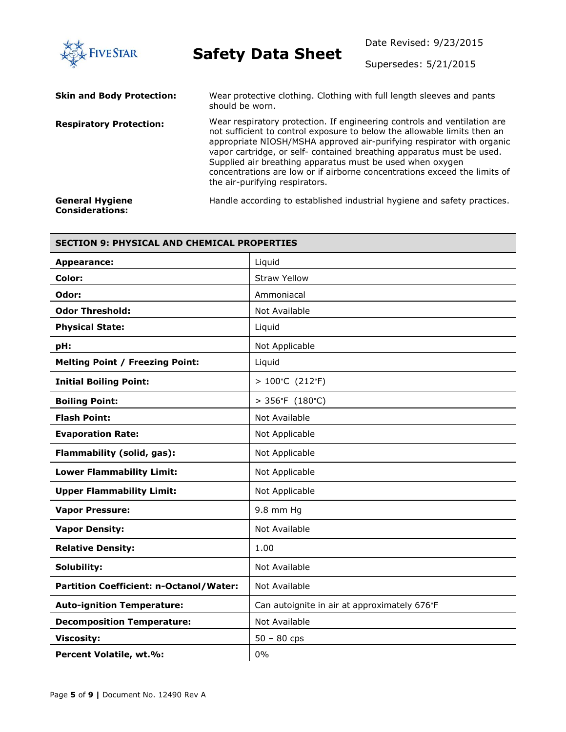

Date Revised: 9/23/2015

Supersedes: 5/21/2015

| <b>Skin and Body Protection:</b>                 | Wear protective clothing. Clothing with full length sleeves and pants<br>should be worn.                                                                                                                                                                                                                                                                                                                                                                                           |
|--------------------------------------------------|------------------------------------------------------------------------------------------------------------------------------------------------------------------------------------------------------------------------------------------------------------------------------------------------------------------------------------------------------------------------------------------------------------------------------------------------------------------------------------|
| <b>Respiratory Protection:</b>                   | Wear respiratory protection. If engineering controls and ventilation are<br>not sufficient to control exposure to below the allowable limits then an<br>appropriate NIOSH/MSHA approved air-purifying respirator with organic<br>vapor cartridge, or self- contained breathing apparatus must be used.<br>Supplied air breathing apparatus must be used when oxygen<br>concentrations are low or if airborne concentrations exceed the limits of<br>the air-purifying respirators. |
| <b>General Hygiene</b><br><b>Considerations:</b> | Handle according to established industrial hygiene and safety practices.                                                                                                                                                                                                                                                                                                                                                                                                           |

| <b>SECTION 9: PHYSICAL AND CHEMICAL PROPERTIES</b> |                                              |  |
|----------------------------------------------------|----------------------------------------------|--|
| <b>Appearance:</b>                                 | Liquid                                       |  |
| Color:                                             | <b>Straw Yellow</b>                          |  |
| Odor:                                              | Ammoniacal                                   |  |
| <b>Odor Threshold:</b>                             | Not Available                                |  |
| <b>Physical State:</b>                             | Liquid                                       |  |
| pH:                                                | Not Applicable                               |  |
| <b>Melting Point / Freezing Point:</b>             | Liquid                                       |  |
| <b>Initial Boiling Point:</b>                      | $>100^{\circ}$ C (212 $^{\circ}$ F)          |  |
| <b>Boiling Point:</b>                              | $> 356^{\circ}F (180^{\circ}C)$              |  |
| <b>Flash Point:</b>                                | Not Available                                |  |
| <b>Evaporation Rate:</b>                           | Not Applicable                               |  |
| Flammability (solid, gas):                         | Not Applicable                               |  |
| <b>Lower Flammability Limit:</b>                   | Not Applicable                               |  |
| <b>Upper Flammability Limit:</b>                   | Not Applicable                               |  |
| <b>Vapor Pressure:</b>                             | 9.8 mm Hg                                    |  |
| <b>Vapor Density:</b>                              | Not Available                                |  |
| <b>Relative Density:</b>                           | 1.00                                         |  |
| Solubility:                                        | Not Available                                |  |
| <b>Partition Coefficient: n-Octanol/Water:</b>     | Not Available                                |  |
| <b>Auto-ignition Temperature:</b>                  | Can autoignite in air at approximately 676°F |  |
| <b>Decomposition Temperature:</b>                  | Not Available                                |  |
| <b>Viscosity:</b>                                  | $50 - 80$ cps                                |  |
| Percent Volatile, wt.%:                            | 0%                                           |  |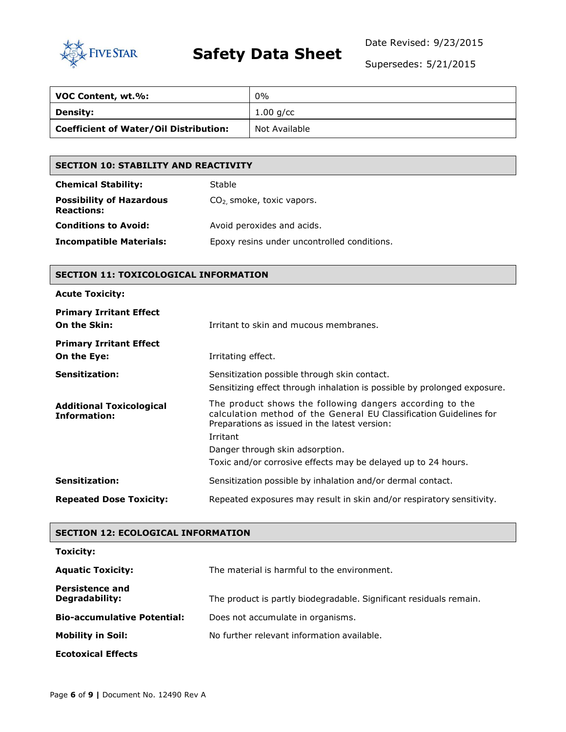

Date Revised: 9/23/2015

Supersedes: 5/21/2015

| VOC Content, wt.%:                            | $0\%$         |
|-----------------------------------------------|---------------|
| <b>Density:</b>                               | $1.00$ g/cc   |
| <b>Coefficient of Water/Oil Distribution:</b> | Not Available |

## **SECTION 10: STABILITY AND REACTIVITY**

| <b>Chemical Stability:</b>                           | Stable                                      |
|------------------------------------------------------|---------------------------------------------|
| <b>Possibility of Hazardous</b><br><b>Reactions:</b> | $CO2$ smoke, toxic vapors.                  |
| <b>Conditions to Avoid:</b>                          | Avoid peroxides and acids.                  |
| <b>Incompatible Materials:</b>                       | Epoxy resins under uncontrolled conditions. |

## **SECTION 11: TOXICOLOGICAL INFORMATION**

| <b>Primary Irritant Effect</b><br>On the Skin:         | Irritant to skin and mucous membranes.                                                                                                                                                      |
|--------------------------------------------------------|---------------------------------------------------------------------------------------------------------------------------------------------------------------------------------------------|
| <b>Primary Irritant Effect</b><br>On the Eye:          | Irritating effect.                                                                                                                                                                          |
| <b>Sensitization:</b>                                  | Sensitization possible through skin contact.<br>Sensitizing effect through inhalation is possible by prolonged exposure.                                                                    |
| <b>Additional Toxicological</b><br><b>Information:</b> | The product shows the following dangers according to the<br>calculation method of the General EU Classification Guidelines for<br>Preparations as issued in the latest version:<br>Irritant |
|                                                        | Danger through skin adsorption.                                                                                                                                                             |
|                                                        | Toxic and/or corrosive effects may be delayed up to 24 hours.                                                                                                                               |
|                                                        |                                                                                                                                                                                             |
| <b>Sensitization:</b>                                  | Sensitization possible by inhalation and/or dermal contact.                                                                                                                                 |

### **SECTION 12: ECOLOGICAL INFORMATION**

| Toxicity:                                |                                                                    |
|------------------------------------------|--------------------------------------------------------------------|
| <b>Aquatic Toxicity:</b>                 | The material is harmful to the environment.                        |
| <b>Persistence and</b><br>Degradability: | The product is partly biodegradable. Significant residuals remain. |
| <b>Bio-accumulative Potential:</b>       | Does not accumulate in organisms.                                  |
| <b>Mobility in Soil:</b>                 | No further relevant information available.                         |
| <b>Ecotoxical Effects</b>                |                                                                    |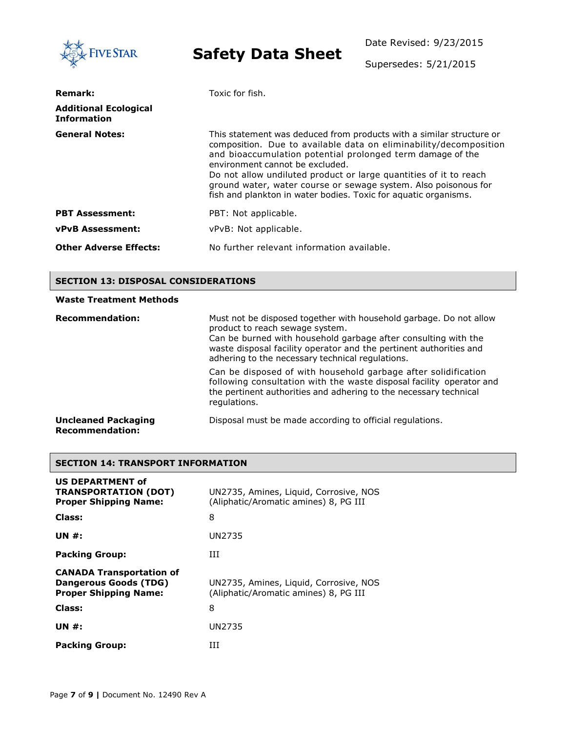| <b>FIVE STAR</b>                                   | <b>Safety Data Sheet</b>                                                                                                                                                                                                                                                                                                                                                                                                                              | Date Revised: 9/23/2015 |  |
|----------------------------------------------------|-------------------------------------------------------------------------------------------------------------------------------------------------------------------------------------------------------------------------------------------------------------------------------------------------------------------------------------------------------------------------------------------------------------------------------------------------------|-------------------------|--|
|                                                    |                                                                                                                                                                                                                                                                                                                                                                                                                                                       | Supersedes: 5/21/2015   |  |
| <b>Remark:</b>                                     | Toxic for fish.                                                                                                                                                                                                                                                                                                                                                                                                                                       |                         |  |
| <b>Additional Ecological</b><br><b>Information</b> |                                                                                                                                                                                                                                                                                                                                                                                                                                                       |                         |  |
| <b>General Notes:</b>                              | This statement was deduced from products with a similar structure or<br>composition. Due to available data on eliminability/decomposition<br>and bioaccumulation potential prolonged term damage of the<br>environment cannot be excluded.<br>Do not allow undiluted product or large quantities of it to reach<br>ground water, water course or sewage system. Also poisonous for<br>fish and plankton in water bodies. Toxic for aquatic organisms. |                         |  |
| <b>PBT Assessment:</b>                             | PBT: Not applicable.                                                                                                                                                                                                                                                                                                                                                                                                                                  |                         |  |
| <b>vPvB Assessment:</b>                            | vPvB: Not applicable.                                                                                                                                                                                                                                                                                                                                                                                                                                 |                         |  |
| <b>Other Adverse Effects:</b>                      | No further relevant information available.                                                                                                                                                                                                                                                                                                                                                                                                            |                         |  |

#### **SECTION 13: DISPOSAL CONSIDERATIONS**

### **Waste Treatment Methods Recommendation:** Must not be disposed together with household garbage. Do not allow product to reach sewage system. Can be burned with household garbage after consulting with the waste disposal facility operator and the pertinent authorities and adhering to the necessary technical regulations. Can be disposed of with household garbage after solidification following consultation with the waste disposal facility operator and the pertinent authorities and adhering to the necessary technical regulations. **Uncleaned Packaging Recommendation:** Disposal must be made according to official regulations.

## **SECTION 14: TRANSPORT INFORMATION**

| <b>US DEPARTMENT of</b><br><b>TRANSPORTATION (DOT)</b><br><b>Proper Shipping Name:</b>   | UN2735, Amines, Liquid, Corrosive, NOS<br>(Aliphatic/Aromatic amines) 8, PG III |
|------------------------------------------------------------------------------------------|---------------------------------------------------------------------------------|
| Class:                                                                                   | 8                                                                               |
| UN #:                                                                                    | UN2735                                                                          |
| <b>Packing Group:</b>                                                                    | ĦТ                                                                              |
| <b>CANADA Transportation of</b><br>Dangerous Goods (TDG)<br><b>Proper Shipping Name:</b> | UN2735, Amines, Liguid, Corrosive, NOS<br>(Aliphatic/Aromatic amines) 8, PG III |
| Class:                                                                                   | 8                                                                               |
| UN #:                                                                                    | UN2735                                                                          |
| <b>Packing Group:</b>                                                                    | ĦТ                                                                              |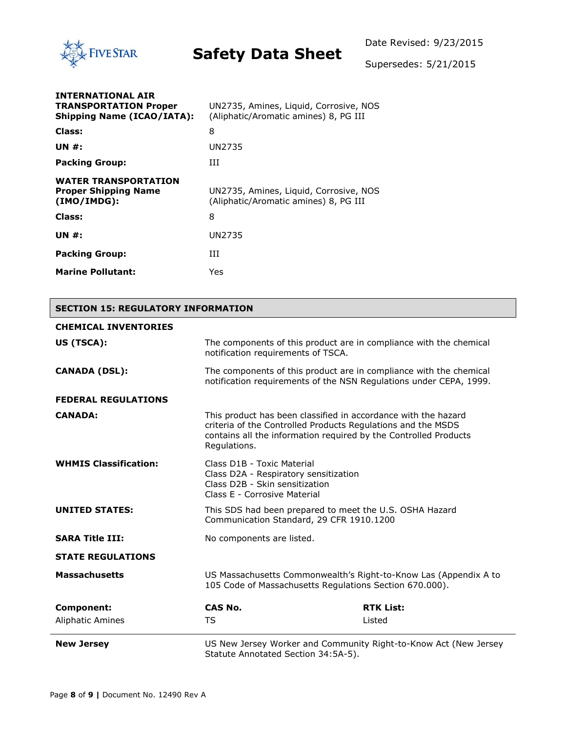

Supersedes: 5/21/2015

| <b>INTERNATIONAL AIR</b><br><b>TRANSPORTATION Proper</b><br><b>Shipping Name (ICAO/IATA):</b> | UN2735, Amines, Liquid, Corrosive, NOS<br>(Aliphatic/Aromatic amines) 8, PG III |
|-----------------------------------------------------------------------------------------------|---------------------------------------------------------------------------------|
| Class:                                                                                        | 8                                                                               |
| UN #:                                                                                         | UN2735                                                                          |
| <b>Packing Group:</b>                                                                         | ĦТ                                                                              |
| <b>WATER TRANSPORTATION</b><br><b>Proper Shipping Name</b><br>(IMO/IMDG):                     | UN2735, Amines, Liquid, Corrosive, NOS<br>(Aliphatic/Aromatic amines) 8, PG III |
| Class:                                                                                        | 8                                                                               |
| UN $#$ :                                                                                      | UN2735                                                                          |
| <b>Packing Group:</b>                                                                         | Ш                                                                               |
| <b>Marine Pollutant:</b>                                                                      | Yes                                                                             |

### **SECTION 15: REGULATORY INFORMATION**

| <b>CHEMICAL INVENTORIES</b>  |                                                                                                                                                                                                                    |                  |  |
|------------------------------|--------------------------------------------------------------------------------------------------------------------------------------------------------------------------------------------------------------------|------------------|--|
| US (TSCA):                   | The components of this product are in compliance with the chemical<br>notification requirements of TSCA.                                                                                                           |                  |  |
| <b>CANADA (DSL):</b>         | The components of this product are in compliance with the chemical<br>notification requirements of the NSN Regulations under CEPA, 1999.                                                                           |                  |  |
| <b>FEDERAL REGULATIONS</b>   |                                                                                                                                                                                                                    |                  |  |
| <b>CANADA:</b>               | This product has been classified in accordance with the hazard<br>criteria of the Controlled Products Regulations and the MSDS<br>contains all the information required by the Controlled Products<br>Regulations. |                  |  |
| <b>WHMIS Classification:</b> | Class D <sub>1</sub> B - Toxic Material<br>Class D2A - Respiratory sensitization<br>Class D2B - Skin sensitization<br>Class E - Corrosive Material                                                                 |                  |  |
| <b>UNITED STATES:</b>        | This SDS had been prepared to meet the U.S. OSHA Hazard<br>Communication Standard, 29 CFR 1910.1200                                                                                                                |                  |  |
| <b>SARA Title III:</b>       | No components are listed.                                                                                                                                                                                          |                  |  |
| <b>STATE REGULATIONS</b>     |                                                                                                                                                                                                                    |                  |  |
| <b>Massachusetts</b>         | US Massachusetts Commonwealth's Right-to-Know Las (Appendix A to<br>105 Code of Massachusetts Regulations Section 670.000).                                                                                        |                  |  |
| <b>Component:</b>            | <b>CAS No.</b>                                                                                                                                                                                                     | <b>RTK List:</b> |  |
| <b>Aliphatic Amines</b>      | TS                                                                                                                                                                                                                 | Listed           |  |
| <b>New Jersey</b>            | US New Jersey Worker and Community Right-to-Know Act (New Jersey<br>Statute Annotated Section 34:5A-5).                                                                                                            |                  |  |